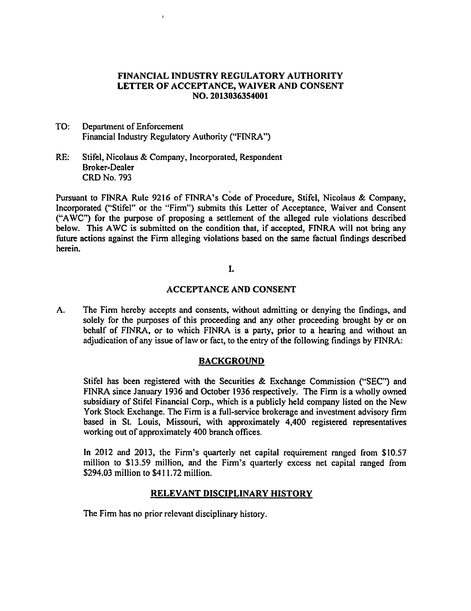## FINANCIAL INDUSTRY REGULATORY AUTHORITY LETTER OF ACCEPTANCE, WAIVER AND CONSENT NO. 2013036354001

- TO: Department of Enforcement Financial Industry Regulatory Authority ("FINRA")
- RE: Stifel, Nicolaus & Company, Incorporated, Respondent Broker-Dealer CRD No. 793

Pursuant to FINRA Rule 9216 of FINRA's Code of Procedure, Stifel, Nicoiaus & Company, Incorporated ("Stifel" or the "Firm") submits this Letter of Acceptance, Waiver and Consent ('\*AWC") for the purpose of proposing <sup>a</sup> settlement of the alleged rule violations described below. This AWC is submitted on the condition that, if accepted, FINRA will not bring any future actions against the Firm alleging violations based on the same factual findings described herein.

## I.

## ACCEPTANCE AND CONSENT

A. The Firm hereby accepts and consents, without admitting or denying the findings, and solely for the purposes of this proceeding and any other proceeding brought by or on behalf of FINRA, or to which FINRA is <sup>a</sup> party, prior to <sup>a</sup> hearing and without an adjudication of any issue of law or fact, to the entry of the following findings by FINRA:

# BACKGROUND

Stifel has been registered with the Securities  $\&$  Exchange Commission ("SEC") and FINRA since January 1936 and October 1936 respectively. The Firm is a wholly owned subsidiary of Stifel Financial Corp., which is <sup>a</sup> publicly held company listed on the New York Stock Exchange. The Firm is a full-service brokerage and investment advisory firm based in St. Louis, Missouri, with approximately 4,400 registered representatives working out of approximately 400 branch offices.

In 2012 and 2013, the Firm's quarterly net capital requirement ranged from \$10.57 million to \$13.59 million, and the Firm's quarterly excess net capital ranged from \$294.03 million to \$411.72 million.

# RELEVANT DISCIPLINARY HISTORY

The Firm has no prior relevant disciplinary history.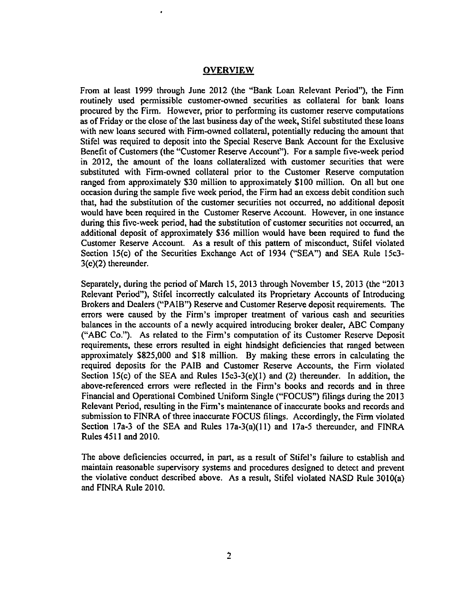#### **OVERVIEW**

From at least 1999 through June 2012 (the "Bank Loan Relevant Period"), the Firm routinely used permissible customer-owned securities as collateral for bank loans procured by thc Firm. However, prior to performing its customer reserve computations as of Friday or the close of the last business day of the week, Stifel substituted these loans with new loans secured with Firm-owned collateral, potentially reducing the amount that Stifel was required to deposit into the Special Reserve Bank Account for the Exclusive Benefit of Customers (the "Customer Reserve Account"). For a sample five-week period in 2012, the amount of the loans collateralized with customer securities that were substituted with Firm-owned collateral prior to the Customer Reserve computation ranged from approximately \$30 million to approximately \$100 million. On all but one occasion during the sample five week period, the Firm had an excess debit condition such that, had the substitution of the customer securities not occurred, no additional deposit would have bcen required in the Customer Rcserve Account. However, in one instance during this fivc-week period, had the substitution of customer securities not occurred, an additional deposit of approximately \$36 million would have been required to fund the Customer Reserve Account. As a result of this pattern of misconduct, Stifel violated Section 15(c) of the Securities Exchange Act of 1934 ("SEA") and SEA Rule 15c3- 3(c)(2) thereunder.

Separately, during the period of March 15, 2013 through November 15, 2013 (the "2013" Relevant Period"), Stifel incorrectly calculated its Proprietary Accounts of Introducing Brokers and Dealers ("PAIB") Reserve and Customer Reserve deposit requirements. The errors were caused by the Firm's improper treatment of various cash and securities balances in the accounts of a newly acquired introducing broker dealer, ABC Company (?'ABC Co."). As related to the Firm's computation of its Customer Reserve Deposit requirements, these errors resulted in eight hindsight deficiencies that ranged between approximately \$825,000 and \$18 million. By making these errors in calculating the required deposits for the PAIB and Customer Reserve Accounts, the Firm violated Section 15(c) of the SEA and Rules 15 $c3-3(e)(1)$  and (2) thereunder. In addition, the above-referenced errors were reflected in the Firm's books and records and in three Financial and Operational Combined Uniform Single ("FOCUS") filings during the 2013 Relevant Period, resulting in the Firm's maintenance of inaccurate books and records and submission to FINRA of three inaccurate FOCUS filings. Accordingly, the Firm violated Section 17a-3 of the SEA and Rules  $17a-3(a)(11)$  and  $17a-5$  thereunder, and FINRA Rules 4511 and 2010.

The above deficiencies occurred, in part, as a result of Stifel's failure to establish and maintain reasonable supervisory systems and procedures designed to detect and prevent the violative conduct described above. As a result, Stifel violated NASD Rule 3010(a) and FINRA Rule 2010.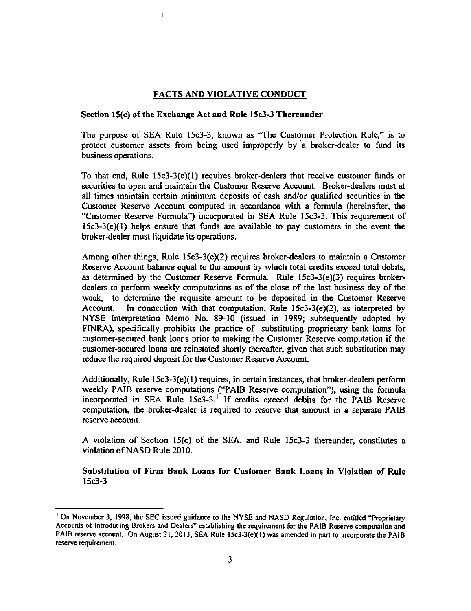## FACTS AND VIOLATIVE CONDUCT

### Section 15(c) of the Exchange Act and Rule 15c3-3 Thereunder

 $\blacksquare$ 

The purpose of SEA Rule 15c3-3, known as ''The Customer Protection Rule," is to protect customer assets from being used improperly by a broker-dealer to fund its business operations.

To that end, Rule <sup>1</sup> 5c3-3(e)(1) requires broker-dealers that receive customer funds or securities to open and maintain the Customer Reserve Account. Broker-dealers must at all times maintain certain minimum deposits of cash and/or qualified securities in the Customer Reserve Account computed in accordance with a formula (hereinafter, the '\*Customer Reserve Formula'D incorporated in SEA Rule 15c3-3. This requirement of 15c3-3(e)(1) helps ensure that funds are available to pay customers in the event the broker-dealer must liquidate its operations.

Among other things, Rule 15c3-3(e)(2) requires broker-dealers to maintain a Customer Reserve Account balance equal to the amount by which total credits exceed total debits, as determined by the Customer Reserve Formula. Rule <sup>1</sup> 5c3-3(e)(3) requires brokerdealers to perform weekly computations as of the close of the last business day of the week, to determine the requisite amount to be deposited in the Customer Reserve Account. In connection with that computation, Rule 15c3-3(e)(2), as interpreted by NYSE Interpretation Memo No. 89-10 (issued in 1989; subsequently adopted by FINRA), specifically prohibits the practice of substituting proprietary bank loans for customer-secured bank loans prior to making the Customer Reserve computation if the customer-secured loans are reinstated shortly thereafter, given that such substitution may reduce the required deposit for the Customer Reserve Account.

Additionally, Rule 15c3-3(e)(1) requires, in certain instances, that broker-dealers perform weekly PAIB reserve computations ("PAIB Reserve computation"), using the formula incorporated in SEA Rule 15c3-3.<sup>1</sup> If credits exceed debits for the PAIB Reserve computation, the broker-dealer is required to reserve that amount in a separate PAIB reserve account.

A violation of Section 15(c) of the SEA, and Rule 15c3-3 thereunder, constitutes a violation of NASD Rule 2010.

Substitution of Firm Bank Loans for Customer Bank Loans in Violation of Rule 15c3-3

<sup>&</sup>lt;sup>1</sup> On November 3, 1998, the SEC issued guidance to the NYSE and NASD Regulation, Inc. entitled "Proprietary Accounts of Introducing Brokers and Dealers" establishing the requirement for the PAIB Reserve computation and PAIB reserve account. On August 21, 2013, SEA Rule 15c3-3(e)(1) was amended in part to incorporate the PAIB reserve requirement.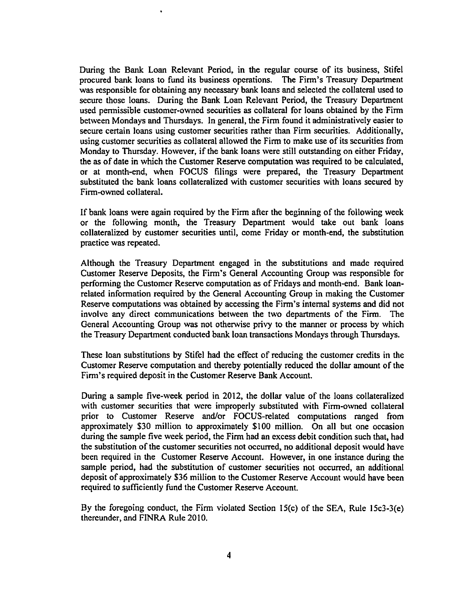During the Bank Loan Relevant Period, in the regular course of its business, Stifel procured bank loans to fund its business operations. The Firm's Treasury Department was responsible for obtaining any necessary bank loans and selected the collateral used to secure those loans. During the Bank Loan Relevant Period, the Treasury Department used permissible customcr-owned securities as collateral for loans obtained by the Firm between Mondays and Thursdays. In general, the Firm found it administrativcly easier to secure certain loans using customer securities rather than Firm securities. Additionally, using customer securities as collateral allowed the Firm to make use of its securities from Monday to Thursday. However, if the bank loans were still outstanding on either Friday, the as of date in which the Customer Reserve computation was required to be calculated, or at month-end, when FOCUS filings were prepared, the Treasury Department substituted the bank loans collateralized with customer securities with loans secured by Firm-owned collateral.

If bank loans were again required by the Firm after the beginning of the following week or the following month, the Treasury Department would take out bank loans collateralizcd by customer securities until, come Friday or month-end, the substitution practice was repeated.

Although the Treasury Dcpartment engaged in the substitutions and made required Customer Reserve Deposits, the Firm's General Accounting Group was responsible for performing the Customer Reserve computation as of Fridays and month-end. Bank loanrelated information required by the General Accounting Group in making the Customer Reserve computations was obtained by accessing the Firm's internal systems and did not involve any direct communications between the two departments of the Firm. The General Accounting Group was not otherwise privy to the manner or process by which the Treasury Department conducted bank loan transactions Mondays through Thursdays.

These loan substitutions by Stifel had the effect of reducing the customer credits in the Customer Reserve computation and thereby potentially reduced thc dollar amount of the Firm's required deposit in the Customer Reserve Bank Account.

During a sample five-week period in 2012, the dollar value of the loans collateralized with customer securities that were improperly substituted with Firm-owned collateral prior to Customer Reserve and/or FOCUS-related computations ranged from approximately \$30 million to approximately \$100 million. On all but one occasion during the sample five week period, the Firm had an excess debit condition such that, had the substitution of the customer securities not occurred, no additional deposit would have been required in the Customer Reserve Account. However, in one instance during the sample period, had the substitution of customer securities not occurred, an additional deposit of approximately \$36 million to the Customer Reserve Account would have been required to sufficiently fund the Customer Reserve Account.

By the foregoing conduct, the Firm violated Section 15(c) of the SEA, Rule 15c3-3(e) thereunder, and FINRA Rule 2010.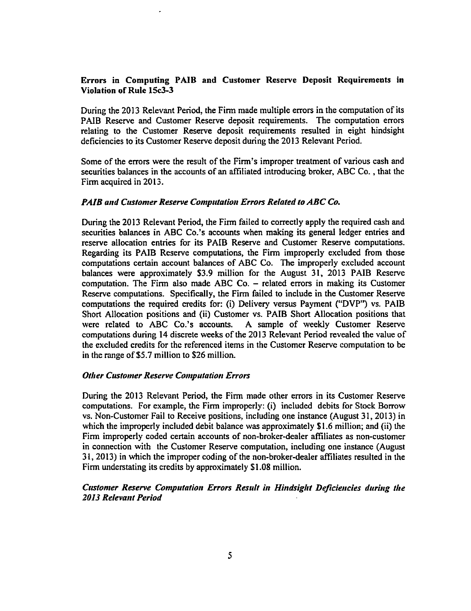### Errors in Computing PAIB and Customer Reserve Deposit Requirements in Violation of Rule 15c3-3

During the 2013 Relevant Period, the Firm made multiple errors in the computation of its PAIB Reserve and Customer Reserve deposit requirements. The computation errors relating to the Customer Reserve deposit requirements resulted in eight hindsight deficiencies to its Customer Reserve deposit during the 2013 Relevant Period.

Some of the errors were the result of the Firm's improper treatment of various cash and securities balances in the accounts of an affiliated introducing broker, ABC Co., that the Firm acquired in 2013.

#### PAIB and Customer Reserve Computation Errors Related to ABC Co.

During the 2013 Relevant Period, the Firm failed to correctly apply the required cash and securities balances in ABC Co.'s accounts when making its general ledger entries and reserve allocation entries for its PAIB Reserve and Customer Reserve computations. Regarding its PAIB Reserve computations, the Firm improperly excluded from those computations certain account balances of ABC Co. The improperly excluded account balances were approximately \$3.9 million for the August 31, 2013 PAIB Reserve computation. The Firm also made ABC Co. - related errors in making its Customer computation. The Firm also made ABC Co. – related errors in making its Customer<br>Reserve computations. Specifically, the Firm failed to include in the Customer Reserve computations the required credits for: (i) Delivery versus Payment ("DVP") vs. PAIB Short Allocation positions and (ii) Customer vs. PAIB Short Allocation positions that were related to ABC Co.'s accounts. A sample of weekly Customer Reserve A sample of weekly Customer Reserve computations during 14 discrete weeks of the 2013 Relevant Period revealed the value of the excluded credits for the referenced items in the Customer Reserve computation to be in the range of \$5.7 million to \$26 million.

#### **Other Customer Reserve Computation Errors**

During the 2013 Relevant Period, the Firm made other errors in its Customer Reserve computations. For example, the Firm improperly: (i) included debits for Stock Borrow vs. Non-Customer Fail to Receive positions, including one instance (August 31, 2013) in which the improperly included debit balance was approximately \$1.6 million; and (ii) the Firm improperly coded certain accounts of non-broker-dealer affiliates as non-customer in connection with the Customer Reserve computation, including one instance (August 31, 2013) in which the improper coding of the non-broker-dealer affiliates resulted in the Firm understating its credits by approximately \$1.08 million.

### Customer Reserve Computation Errors Result in Hindsight Deficiencies during the 2013 Relevant Period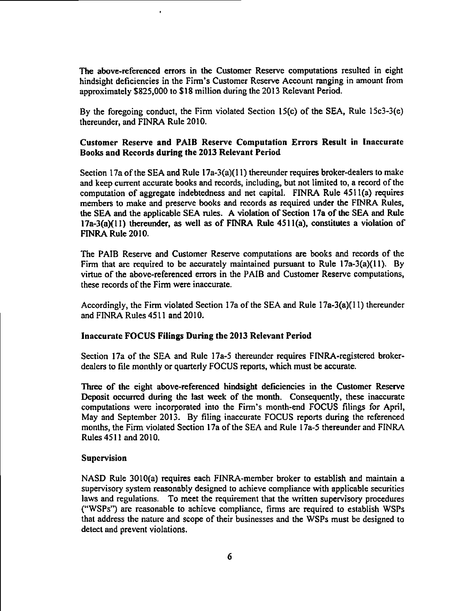The above-referenced errors in the Customer Reservc computations resulted in eight hindsight deficiencies in the Firm's Customer Reserve Account ranging in amount from approximately \$825,000 to \$18 million during the 2013 Relevant Period.

By the foregoing conduct, the Firm violated Section  $15(c)$  of the SEA, Rule 15c3-3(e) thereunder, and FINRA Rule 2010.

## Customer Reserve and PAIB Reserve Computation Errors Result in Inaccurate Books and Records during the 2013 Relevant Period

Section 17a of the SEA and Rule  $17a-3(a)(11)$  thereunder requires broker-dealers to make and keep current accurate books and records, including, but not limited to, a record of the computation of aggregate indebtedness and net capital. FINRA Rule 4511(a) requires members to make and preserve books and records as required under the FINRA Rules, the SEA and the applicable SEA rules. A violation of Section 17a of the SEA and Rule 17a-3(a)(11) thereunder, as well as of FINRA Rulc 4511(a), constitutes <sup>a</sup> violation of FINRA Rule 2010.

The PAIB Reserve and Customer Reserve computations are books and records of the Firm that are required to be accurately maintained pursuant to Rule 17a-3(a)(11). By virtue of the above-referenced errors in the PAIB and Customer Reserve computations, these records of the Firm were inaccurate.

Accordingly, the Firm violated Section 17a of the SEA and Rule  $17a-3(a)(11)$  thereunder and FINRA Rules 4511 and 2010.

### Inaccurate FOCUS Filings During the 2013 Relevant Period

Section 17a of the SEA and Rule 17a-5 thereunder requires FINRA-registered brokerdealers to file monthly or quarterly FOCUS reports, which must be accurate.

Threc of the eight above-referenced hindsight deficiencies in the Customer Reserve Deposit occurred during the last week of the month. Consequently, these inaccurate computations werc incorporated into the Firm's month-end FOCUS filings for April, May and September 2013. By filing inaccurate FOCUS reports during the referenced months, the Firm violated Section 17a of the SEA and Rule 17a-5 thereunder and FINRA Rules 4511 and 2010.

#### Supervision

NASD Rule 3010(a) requires each FINRA-member broker to establish and maintain a supervisory system reasonably designed to achieve compliance with applicable securities laws and regulations. To meet the requirement that the written supervisory procedures ("WSPs") are reasonable to achieve compliance, firms are required to establish WSPs that address thc nature and scope of their businesses and the WSPs must be designed to detect and prevent violations.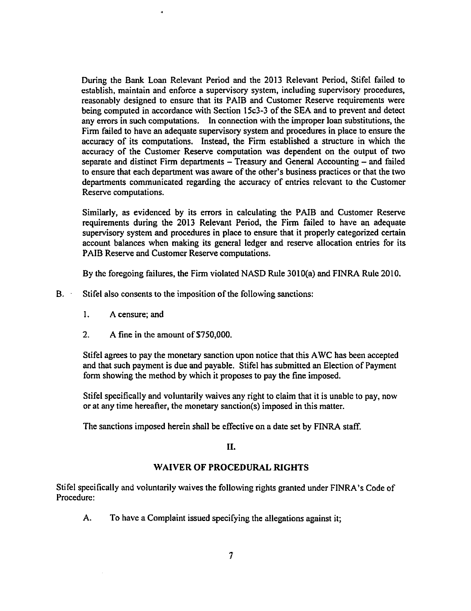During the Bank Loan Relevant Period and the 2013 Relevant Period, Stifel failed to establish, maintain and enforce a supervisory system, including supervisory procedures, reasonably designed to ensure that its PAIB and Customer Reserve requirements were being computed in accordance with Section 15c3-3 of the SEA and to prevent and detect any errors in such computations. In connection with the improper loan substitutions, the Firm failed to have an adequate supervisory system and procedures in place to ensure the accuracy of its computations. Instead, the Firm established <sup>a</sup> structure in which the accuracy of the Customer Reserve computation was dependent on the output of two separate and distinct Firm departments - Treasury and General Accounting - and failed separate and distinct Firm departments – I reasury and General Accounting – and failed<br>to ensure that each department was aware of the other's business practices or that the two departments communicated regarding the accuracy of entries relevant to the Customer Reserve computations.

Similarly, as evidenced by its errors in calculating the PAIB and Customer Reserve requirements during the 2013 Relevant Period, the Firm failed to have an adequate supervisory system and procedures in place to ensure that it properly categorized certain account balances when making its general ledger and reserve allocation entries for its PAIB Reserve and Customer Reserve computations.

By the foregoing failures, the Firm violated NASD Rule 3010(a) and FINRA Rule 2010.

- B. Stifel also consents to the imposition of the following sanctions:
	- I. A censure; and
	- 2. A fine in the amount of \$750,000.

Stifel agrees to pay the monetary sanction upon notice that this AWC has been accepted and that such payment is due and payable. Stifel has submitted an Election of Payment form showing the method by which it proposes to pay the fine imposed.

Stifel specifically and voluntarily waives any right to claim that it is unable to pay, now or at any time hereafter, the monetary sanction(s) imposed in this matter.

The sanctions imposed herein shall be effective on <sup>a</sup> date set by FINRA staff.

II.

# WAIVER OF PROCEDURAL RIGHTS

Stifel specifically and voluntarily waives the following rights granted under FINRA's Code of Procedure:

A. To have a Complaint issued specifying the allegations against it;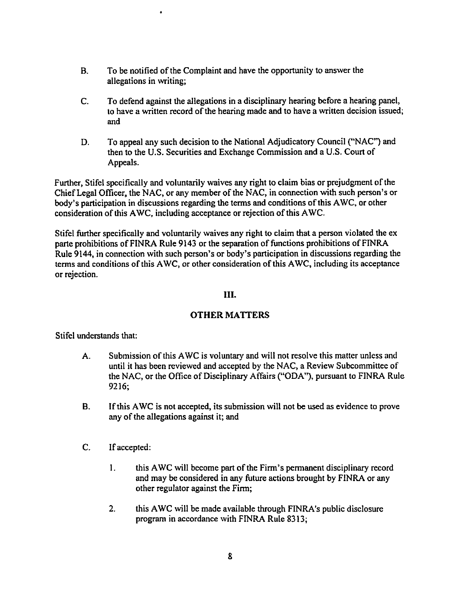B. To be notified of the Complaint and have the opportunity to answer the allegations in writing;

 $\bullet$ 

- C. To defend against the allegations in a disciplinary hearing before <sup>a</sup> hearing panel, to have a written record of the hearing made and to have a written decision issued; and
- D. To appeal any such decision to the National Adjudicatory Council (''NAC") and then to the U.S. Securities and Exchange Commission and <sup>a</sup> U.S. Court of Appeals.

Further, Stifel specifically and voluntarily waives any right to claim bias or prejudgment of the Chief Legal Officer, the NAC, or any member of the NAC, in connection with such person's or body's participation in discussions regarding the terms and conditions of this AWC, or other consideration of this AWC, including acceptance or rejection of this AWC.

Stifel further specifically and voluntarily waives any right to claim that a person violated the ex parte prohibitions of FINRA Rule 9143 or the separation of functions prohibitions of FINRA Rule 9144, in connection with such person's or body's participation in discussions regarding the terms and conditions of this AWC, or other consideration of this AWC, including its acceptance or rejection.

## III.

# OTHER MATTERS

Stifel understands that:

- A. Submission of this AWC is voluntary and will not resolve this matter unless and until it has been reviewed and accepted by the NAC, <sup>a</sup> Review Subcommittee of the NAC, or the Office of Disciplinary Affairs ("ODA"), pursuant to FINRA Rule 9216;
- B. Ifthis AWC is not accepted, its submission will not be used as evidence to prove any of the allegations against it; and
- C. If accepted:
	- 1. this AWC will become part of the Firm's permanent disciplinary record and may be considered in any future actions brought by FINRA or any other regulator against the Firm;
	- 2. this AWC will be made available through FINRA's public disclosure program in accordance with FINRA Rule 8313;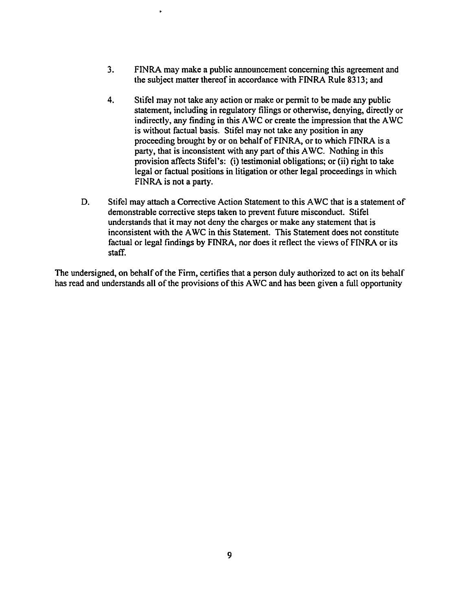- 3. FINRA may make a public announcement concerning this agreement and the subject matter thereof in accordance with FINRA Rule 8313; and
- 4. Stifel may not take any action or make or permit to be made any public statement, including in regulatory filings or otherwise, denying, directly or indirectly, any finding in this AWC or create the impression that the AWC is without factual basis. Stifel may not take any position in any proceeding brought by or on behalf of FINRA, or to which FINRA is a party, that is inconsistent with any part of this AWC. Nothing in this provision affects Stifel's: (i) testimonial obligations; or (ii) right to take legal or factual positions in litigation or other legal proceedings in which FlNRA is not a party.
- D. Stifel may attach a Corrective Action Statement to this AWC that is <sup>a</sup> statement of demonstrable corrective steps taken to prevent future misconduct. Stifel understands that it may not deny the charges or make any statement that is inconsistent with the AWC in this Statement. This Statement does not constitute factual or legal findings by FINRA, nor does it reflect the views of FINRA or its staff.

The undersigned, on behalf of the Firm, certifies that a person duly authorized to act on its behalf has read and understands all of the provisions of this AWC and has been given a full opportunity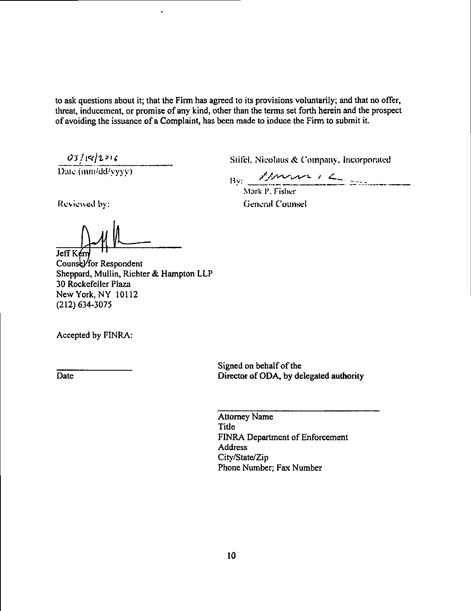to ask questions about it; that the Firm has agreed to its provisions voluntarily; and that no offer, threat, inducement, or promise of any kind, other than the terms set forth herein and the prospect of avoiding the issuance of a Complaint, has been made to induce the Firm to submit it.

 $\frac{03/18/2216}{\text{Date (mm/dd/yyyy)}}$ 

Stifel. Nicolaus & Company, Incorporated.

 $\frac{\text{By:} \quad \text{Show} \quad \text{if} \quad \text{if} \quad \text{if} \quad \text{if} \quad \text{if} \quad \text{if} \quad \text{if} \quad \text{if} \quad \text{if} \quad \text{if} \quad \text{if} \quad \text{if} \quad \text{if} \quad \text{if} \quad \text{if} \quad \text{if} \quad \text{if} \quad \text{if} \quad \text{if} \quad \text{if} \quad \text{if} \quad \text{if} \quad \text{if} \quad \text{if} \quad \text{if} \quad \text{if} \quad \text{if} \quad \text{if} \quad \text{if} \quad$ 

Mark P. Fisher<br>General Counsel Ikeviewed by: General Counsel

 $\Delta$ 1 Jeff Kerr

Counsel/for Respondent Sheppard, Mullin, Richter & Hampton LLP 30 Rockefeller Plaza New York, NY 10112 (212) 634-3075

Accepted by FINRA:

Signed on behalf of the Date Director of ODA, by delegated authority

> Attorney Name Title FINRA Department of Enforcement Address City/State/Zip Phone Number; Fax Number